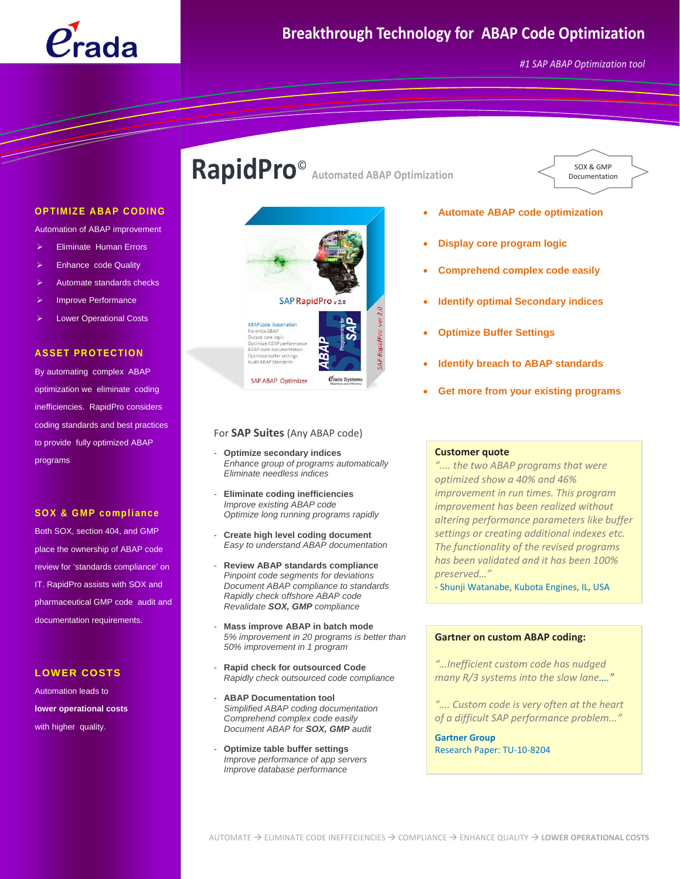

*#1 SAP ABAP Optimization tool*

SOX & GMP Documentation

#### **OPTIMIZE ABAP CODING**

Automation of ABAP improvement

- **Eliminate Human Errors**
- **Enhance code Quality**
- ¾ Automate standards checks
- Improve Performance
- **Lower Operational Costs**

#### **ASSET PROTECTION**

By automating complex ABAP optimization we eliminate coding inefficiencies. RapidPro considers coding standards and best practices to provide fully optimized ABAP programs

#### **SOX & GMP compliance**

Both SOX, section 404, and GMP place the ownership of ABAP code review for 'standards compliance' on IT. RapidPro assists with SOX and pharmaceutical GMP code audit and documentation requirements.

#### **LOWER COSTS**

Automation leads to **lower operational costs** with higher quality.

# **RapidPro**© **Automated ABAP Optimization**



#### For **SAP Suites** (Any ABAP code)

- **Optimize secondary indices**  *Enhance group of programs automatically Eliminate needless indices*
- **Eliminate coding inefficiencies**  *Improve existing ABAP code Optimize long running programs rapidly*
- **Create high level coding document**  *Easy to understand ABAP documentation*
- **Review ABAP standards compliance**  *Pinpoint code segments for deviations Document ABAP compliance to standards Rapidly check offshore ABAP code Revalidate SOX, GMP compliance*
- **Mass improve ABAP in batch mode**  *5% improvement in 20 programs is better than 50% improvement in 1 program*
- **Rapid check for outsourced Code**  *Rapidly check outsourced code compliance*
- **ABAP Documentation tool** *Simplified ABAP coding documentation Comprehend complex code easily Document ABAP for SOX, GMP audit*
- **Optimize table buffer settings**  *Improve performance of app servers Improve database performance*
- **Automate ABAP code optimization**
- **Display core program logic**
- **Comprehend complex code easily**
- **Identify optimal Secondary indices**
- **Optimize Buffer Settings**
- **Identify breach to ABAP standards**
- **Get more from your existing programs**

#### **Customer quote**

*".... the two ABAP programs that were optimized show a 40% and 46% improvement in run times. This program improvement has been realized without altering performance parameters like buffer settings or creating additional indexes etc. The functionality of the revised programs has been validated and it has been 100% preserved…"*

‐ Shunji Watanabe, Kubota Engines, IL, USA

#### **Gartner on custom ABAP coding:**

*"…Inefficient custom code has nudged many R/3 systems into the slow lane…."*

*"…. Custom code is very often at the heart of a difficult SAP performance problem..."*

**Gartner Group**  Research Paper: TU‐10‐8204